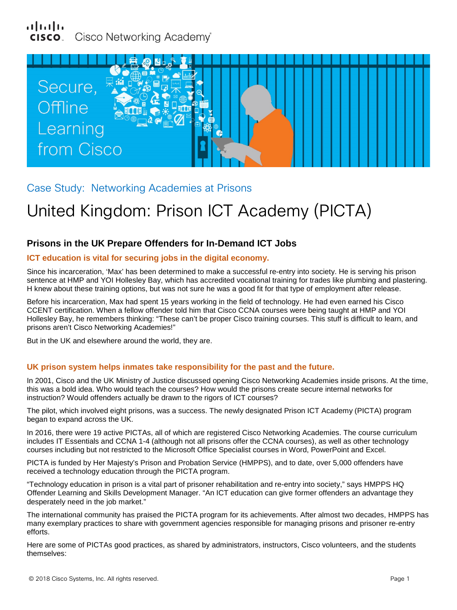# alnılı Cisco Networking Academy®



Case Study: Networking Academies at Prisons

# United Kingdom: Prison ICT Academy (PICTA)

# **Prisons in the UK Prepare Offenders for In-Demand ICT Jobs**

# **ICT education is vital for securing jobs in the digital economy.**

Since his incarceration, 'Max' has been determined to make a successful re-entry into society. He is serving his prison sentence at HMP and YOI Hollesley Bay, which has accredited vocational training for trades like plumbing and plastering. H knew about these training options, but was not sure he was a good fit for that type of employment after release.

Before his incarceration, Max had spent 15 years working in the field of technology. He had even earned his Cisco CCENT certification. When a fellow offender told him that Cisco CCNA courses were being taught at HMP and YOI Hollesley Bay, he remembers thinking: "These can't be proper Cisco training courses. This stuff is difficult to learn, and prisons aren't Cisco Networking Academies!"

But in the UK and elsewhere around the world, they are.

# **UK prison system helps inmates take responsibility for the past and the future.**

In 2001, Cisco and the UK Ministry of Justice discussed opening Cisco Networking Academies inside prisons. At the time, this was a bold idea. Who would teach the courses? How would the prisons create secure internal networks for instruction? Would offenders actually be drawn to the rigors of ICT courses?

The pilot, which involved eight prisons, was a success. The newly designated Prison ICT Academy (PICTA) program began to expand across the UK.

In 2016, there were 19 active PICTAs, all of which are registered Cisco Networking Academies. The course curriculum includes IT Essentials and CCNA 1-4 (although not all prisons offer the CCNA courses), as well as other technology courses including but not restricted to the Microsoft Office Specialist courses in Word, PowerPoint and Excel.

PICTA is funded by Her Majesty's Prison and Probation Service (HMPPS), and to date, over 5,000 offenders have received a technology education through the PICTA program.

"Technology education in prison is a vital part of prisoner rehabilitation and re-entry into society," says HMPPS HQ Offender Learning and Skills Development Manager. "An ICT education can give former offenders an advantage they desperately need in the job market."

The international community has praised the PICTA program for its achievements. After almost two decades, HMPPS has many exemplary practices to share with government agencies responsible for managing prisons and prisoner re-entry efforts.

Here are some of PICTAs good practices, as shared by administrators, instructors, Cisco volunteers, and the students themselves: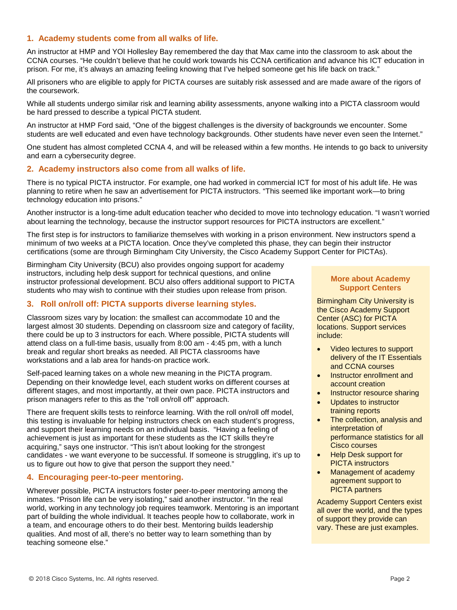# **1. Academy students come from all walks of life.**

An instructor at HMP and YOI Hollesley Bay remembered the day that Max came into the classroom to ask about the CCNA courses. "He couldn't believe that he could work towards his CCNA certification and advance his ICT education in prison. For me, it's always an amazing feeling knowing that I've helped someone get his life back on track."

All prisoners who are eligible to apply for PICTA courses are suitably risk assessed and are made aware of the rigors of the coursework.

While all students undergo similar risk and learning ability assessments, anyone walking into a PICTA classroom would be hard pressed to describe a typical PICTA student.

An instructor at HMP Ford said, "One of the biggest challenges is the diversity of backgrounds we encounter. Some students are well educated and even have technology backgrounds. Other students have never even seen the Internet."

One student has almost completed CCNA 4, and will be released within a few months. He intends to go back to university and earn a cybersecurity degree.

#### **2. Academy instructors also come from all walks of life.**

There is no typical PICTA instructor. For example, one had worked in commercial ICT for most of his adult life. He was planning to retire when he saw an advertisement for PICTA instructors. "This seemed like important work—to bring technology education into prisons."

Another instructor is a long-time adult education teacher who decided to move into technology education. "I wasn't worried about learning the technology, because the instructor support resources for PICTA instructors are excellent."

The first step is for instructors to familiarize themselves with working in a prison environment. New instructors spend a minimum of two weeks at a PICTA location. Once they've completed this phase, they can begin their instructor certifications (some are through Birmingham City University, the Cisco Academy Support Center for PICTAs).

Birmingham City University (BCU) also provides ongoing support for academy instructors, including help desk support for technical questions, and online instructor professional development. BCU also offers additional support to PICTA students who may wish to continue with their studies upon release from prison.

# **3. Roll on/roll off: PICTA supports diverse learning styles.**

Classroom sizes vary by location: the smallest can accommodate 10 and the largest almost 30 students. Depending on classroom size and category of facility, there could be up to 3 instructors for each. Where possible, PICTA students will attend class on a full-time basis, usually from 8:00 am - 4:45 pm, with a lunch break and regular short breaks as needed. All PICTA classrooms have workstations and a lab area for hands-on practice work.

Self-paced learning takes on a whole new meaning in the PICTA program. Depending on their knowledge level, each student works on different courses at different stages, and most importantly, at their own pace. PICTA instructors and prison managers refer to this as the "roll on/roll off" approach.

There are frequent skills tests to reinforce learning. With the roll on/roll off model, this testing is invaluable for helping instructors check on each student's progress, and support their learning needs on an individual basis. "Having a feeling of achievement is just as important for these students as the ICT skills they're acquiring," says one instructor. "This isn't about looking for the strongest candidates - we want everyone to be successful. If someone is struggling, it's up to us to figure out how to give that person the support they need."

# **4. Encouraging peer-to-peer mentoring.**

Wherever possible, PICTA instructors foster peer-to-peer mentoring among the inmates. "Prison life can be very isolating," said another instructor. "In the real world, working in any technology job requires teamwork. Mentoring is an important part of building the whole individual. It teaches people how to collaborate, work in a team, and encourage others to do their best. Mentoring builds leadership qualities. And most of all, there's no better way to learn something than by teaching someone else."

#### **More about Academy Support Centers**

Birmingham City University is the Cisco Academy Support Center (ASC) for PICTA locations. Support services include:

- Video lectures to support delivery of the IT Essentials and CCNA courses
- Instructor enrollment and account creation
- Instructor resource sharing
- Updates to instructor training reports
- The collection, analysis and interpretation of performance statistics for all Cisco courses
- Help Desk support for PICTA instructors
- Management of academy agreement support to PICTA partners

Academy Support Centers exist all over the world, and the types of support they provide can vary. These are just examples.